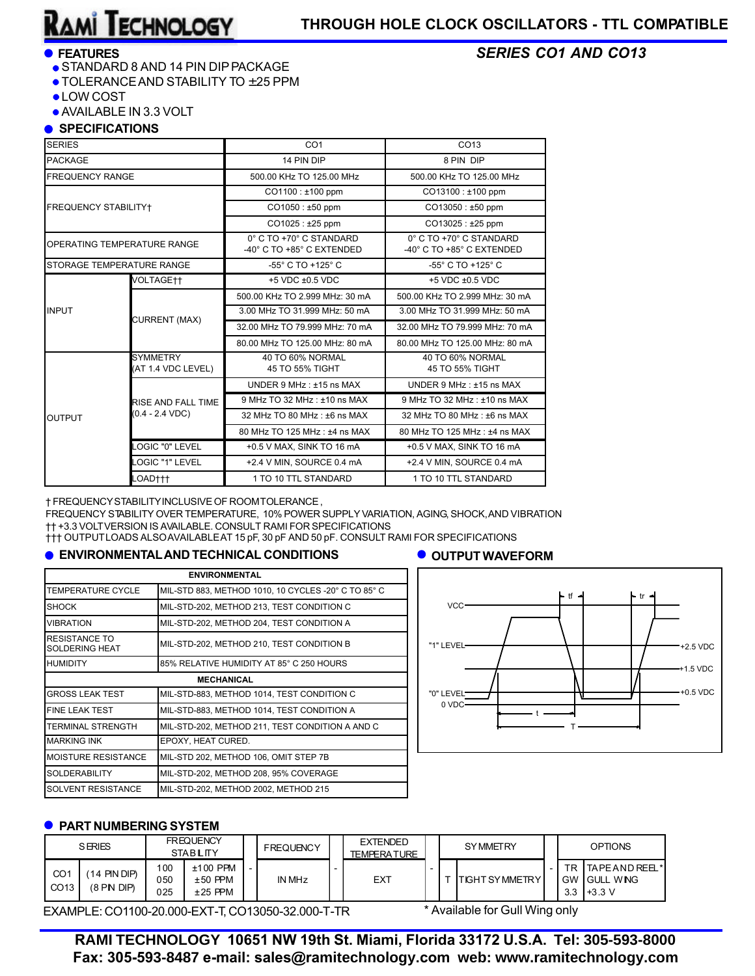*SERIES CO1 AND CO13*

### **FEATURES**

- **STANDARD 8 AND 14 PIN DIP PACKAGE**
- $\bullet$  TOLERANCE AND STABILITY TO  $\pm 25$  PPM
- LOW COST
- AVAILABLE IN 3.3 VOLT

### **SPECIFICATIONS**

| <b>SERIES</b>               |                                      | CO <sub>1</sub>                                      | CO <sub>13</sub>                                     |  |  |  |  |
|-----------------------------|--------------------------------------|------------------------------------------------------|------------------------------------------------------|--|--|--|--|
| <b>PACKAGE</b>              |                                      | 14 PIN DIP                                           | 8 PIN DIP                                            |  |  |  |  |
| <b>FREQUENCY RANGE</b>      |                                      | 500.00 KHz TO 125.00 MHz                             | 500.00 KHz TO 125.00 MHz                             |  |  |  |  |
|                             |                                      | CO1100: ±100 ppm                                     | $CO13100 : ±100$ ppm                                 |  |  |  |  |
| <b>FREQUENCY STABILITY+</b> |                                      | $CO1050 : ±50$ ppm                                   | $CO13050 : ±50$ ppm                                  |  |  |  |  |
|                             |                                      | CO1025: ±25 ppm                                      | $CO13025 : ±25$ ppm                                  |  |  |  |  |
|                             | OPERATING TEMPERATURE RANGE          | 0° C TO +70° C STANDARD<br>-40° C TO +85° C EXTENDED | 0° C TO +70° C STANDARD<br>-40° C TO +85° C EXTENDED |  |  |  |  |
|                             | STORAGE TEMPERATURE RANGE            | -55° C TO +125° C                                    | -55° C TO +125° C                                    |  |  |  |  |
|                             | VOLTAGE††                            | $+5$ VDC $\pm 0.5$ VDC                               | $+5$ VDC $\pm 0.5$ VDC                               |  |  |  |  |
|                             |                                      | 500.00 KHz TO 2.999 MHz: 30 mA                       | 500.00 KHz TO 2.999 MHz: 30 mA                       |  |  |  |  |
| <b>INPUT</b>                | <b>CURRENT (MAX)</b>                 | 3.00 MHz TO 31.999 MHz: 50 mA                        | 3.00 MHz TO 31.999 MHz: 50 mA                        |  |  |  |  |
|                             |                                      | 32.00 MHz TO 79.999 MHz: 70 mA                       | 32.00 MHz TO 79.999 MHz: 70 mA                       |  |  |  |  |
|                             |                                      | 80.00 MHz TO 125.00 MHz: 80 mA                       | 80.00 MHz TO 125.00 MHz: 80 mA                       |  |  |  |  |
|                             | <b>SYMMETRY</b><br>AT 1.4 VDC LEVEL) | 40 TO 60% NORMAL<br>45 TO 55% TIGHT                  | 40 TO 60% NORMAL<br>45 TO 55% TIGHT                  |  |  |  |  |
| <b>OUTPUT</b>               |                                      | UNDER $9$ MHz : $±15$ ns MAX                         | UNDER $9$ MHz : $±15$ ns MAX                         |  |  |  |  |
|                             | RISE AND FALL TIME                   | 9 MHz TO 32 MHz : ±10 ns MAX                         | 9 MHz TO 32 MHz : ±10 ns MAX                         |  |  |  |  |
|                             | $(0.4 - 2.4 VDC)$                    | 32 MHz TO 80 MHz: ±6 ns MAX                          | 32 MHz TO 80 MHz: ±6 ns MAX                          |  |  |  |  |
|                             |                                      | 80 MHz TO 125 MHz : ±4 ns MAX                        | 80 MHz TO 125 MHz : ±4 ns MAX                        |  |  |  |  |
|                             | <b>LOGIC "0" LEVEL</b>               | +0.5 V MAX, SINK TO 16 mA                            | +0.5 V MAX, SINK TO 16 mA                            |  |  |  |  |
|                             | LOGIC "1" LEVEL                      | +2.4 V MIN, SOURCE 0.4 mA                            | +2.4 V MIN, SOURCE 0.4 mA                            |  |  |  |  |
|                             | LOAD†††                              | 1 TO 10 TTL STANDARD                                 | 1 TO 10 TTL STANDARD                                 |  |  |  |  |

† FREQUENCY STABILITY INCLUSIVE OF ROOM TOLERANCE ,

FREQUENCY STABILITY OVER TEMPERATURE, 10% POWER SUPPLY VARIATION, AGING, SHOCK, AND VIBRATION †† +3.3 VOLTVERSION IS AVAILABLE. CONSULT RAMI FOR SPECIFICATIONS

††† OUTPUTLOADS ALSO AVAILABLE AT 15 pF, 30 pF AND 50 pF. CONSULT RAM I FOR SPECIFICATIONS

#### **ENVIRONMENTAL AND TECHNICAL CONDITIONS**

# **OUTPUT WAVEFORM**

| <b>ENVIRONMENTAL</b>                   |                                                     |  |  |  |  |  |
|----------------------------------------|-----------------------------------------------------|--|--|--|--|--|
| TEMPERATURE CYCLE                      | MIL-STD 883, METHOD 1010, 10 CYCLES -20° C TO 85° C |  |  |  |  |  |
| <b>SHOCK</b>                           | MIL-STD-202, METHOD 213, TEST CONDITION C           |  |  |  |  |  |
| VIBRATION                              | MIL-STD-202, METHOD 204, TEST CONDITION A           |  |  |  |  |  |
| RESISTANCE TO<br><b>SOLDERING HEAT</b> | MIL-STD-202, METHOD 210, TEST CONDITION B           |  |  |  |  |  |
| <b>HUMIDITY</b>                        | 85% RELATIVE HUMIDITY AT 85° C 250 HOURS            |  |  |  |  |  |
| <b>MECHANICAL</b>                      |                                                     |  |  |  |  |  |
| <b>GROSS LEAK TEST</b>                 | MIL-STD-883, METHOD 1014, TEST CONDITION C          |  |  |  |  |  |
| <b>FINE LEAK TEST</b>                  | MIL-STD-883, METHOD 1014, TEST CONDITION A          |  |  |  |  |  |
| TERMINAL STRENGTH                      | MIL-STD-202, METHOD 211, TEST CONDITION A AND C     |  |  |  |  |  |
| <b>MARKING INK</b>                     | EPOXY, HEAT CURED.                                  |  |  |  |  |  |
| MOISTURE RESISTANCE                    | MIL-STD 202, METHOD 106, OMIT STEP 7B               |  |  |  |  |  |
| <b>SOLDERABILITY</b>                   | MIL-STD-202, METHOD 208, 95% COVERAGE               |  |  |  |  |  |
| SOLVENT RESISTANCE                     | MIL-STD-202, METHOD 2002, METHOD 215                |  |  |  |  |  |



### **• PART NUMBERING SYSTEM**

| <b>SERIES</b>                       |                               |                   | <b>FREQUENCY</b><br><b>STABLITY</b>  |  | <b>FREQUENCY</b> | <b>EXTENDED</b><br><b>TEMPERATURE</b> |  | <b>SYMMETRY</b>       | <b>OPTIONS</b> |                                                           |
|-------------------------------------|-------------------------------|-------------------|--------------------------------------|--|------------------|---------------------------------------|--|-----------------------|----------------|-----------------------------------------------------------|
| CO <sub>1</sub><br>CO <sub>13</sub> | (14 PIN DIP)<br>$(8$ PIN DIP) | 100<br>050<br>025 | $±100$ PPM<br>$±50$ PPM<br>$±25$ PPM |  | <b>IN MHz</b>    | EXT                                   |  | <b>TIGHT SYMMETRY</b> |                | TR TAPEAND REEL*<br><b>GW GULL WING</b><br>$3.3$ $+3.3$ V |

EXAMPLE: CO1100-20.000-EXT-T, CO13050-32.000-T-TR

\* Available for Gull Wing only

**RAMI TECHNOLOGY 10651 NW 19th St. Miami, Florida 33172 U.S.A. Tel: 305-593-8000 Fax: 305-593-8487 e-mail: sales@ramitechnology.com web: www.ramitechnology.com**